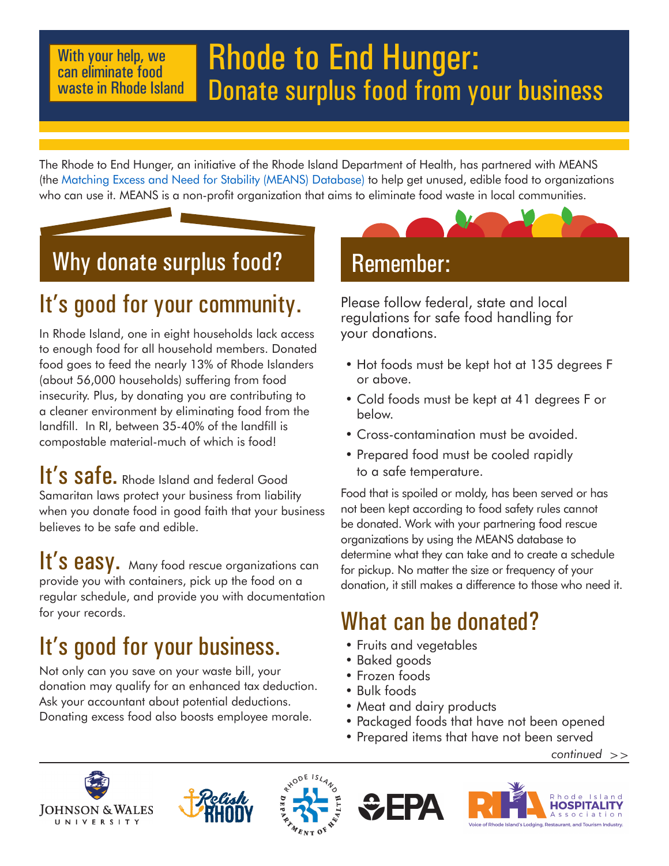#### With your help, we can eliminate food waste in Rhode Island

# Rhode to End Hunger: Donate surplus food from your business

The Rhode to End Hunger, an initiative of the Rhode Island Department of Health, has partnered with MEANS (the Matching Excess and Need for Stability (MEANS) Database) to help get unused, edible food to organizations who can use it. MEANS is a non-profit organization that aims to eliminate food waste in local communities.

### Why donate surplus food?

### It's good for your community.

In Rhode Island, one in eight households lack access to enough food for all household members. Donated food goes to feed the nearly 13% of Rhode Islanders (about 56,000 households) suffering from food insecurity. Plus, by donating you are contributing to a cleaner environment by eliminating food from the landfill. In RI, between 35-40% of the landfill is compostable material-much of which is food!

It's safe. Rhode Island and federal Good Samaritan laws protect your business from liability when you donate food in good faith that your business believes to be safe and edible.

It's easy. Many food rescue organizations can provide you with containers, pick up the food on a regular schedule, and provide you with documentation for your records.

## It's good for your business.

Not only can you save on your waste bill, your donation may qualify for an enhanced tax deduction. Ask your accountant about potential deductions. Donating excess food also boosts employee morale.

### Remember:

Please follow federal, state and local regulations for safe food handling for your donations.

- Hot foods must be kept hot at 135 degrees F or above.
- Cold foods must be kept at 41 degrees F or below.
- Cross-contamination must be avoided.
- Prepared food must be cooled rapidly to a safe temperature.

Food that is spoiled or moldy, has been served or has not been kept according to food safety rules cannot be donated. Work with your partnering food rescue organizations by using the MEANS database to determine what they can take and to create a schedule for pickup. No matter the size or frequency of your donation, it still makes a difference to those who need it.

### What can be donated?

- Fruits and vegetables
- Baked goods
- Frozen foods
- Bulk foods
- Meat and dairy products
- Packaged foods that have not been opened
- Prepared items that have not been served

 *continued >>*